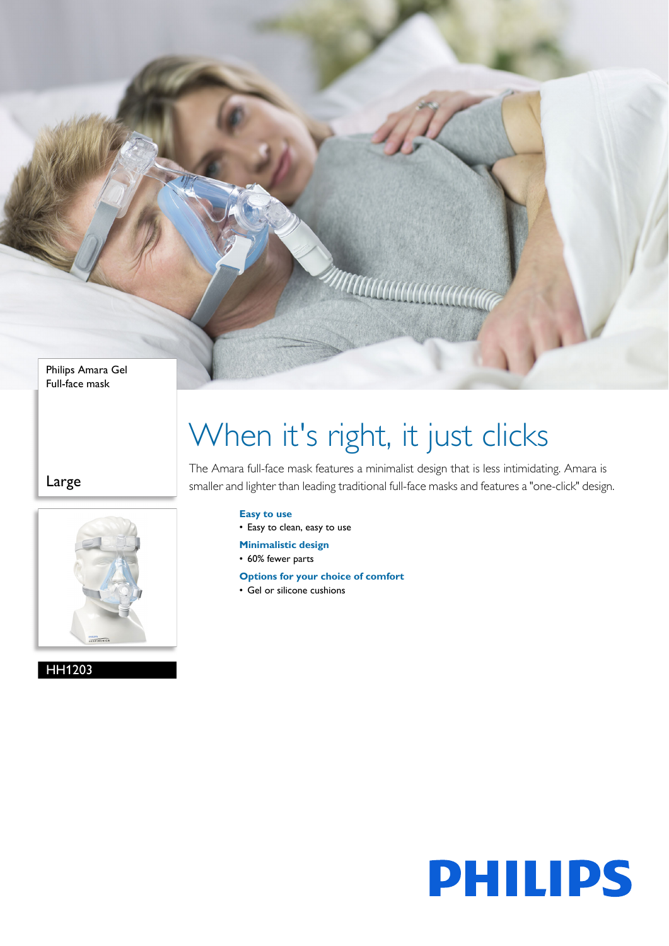Philips Amara Gel Full-face mask

Large



HH1203

# When it's right, it just clicks

**MANANA** 

The Amara full-face mask features a minimalist design that is less intimidating. Amara is smaller and lighter than leading traditional full-face masks and features a "one-click" design.

## **Easy to use**

• Easy to clean, easy to use

- **Minimalistic design**
- 60% fewer parts
- **Options for your choice of comfort**
- Gel or silicone cushions